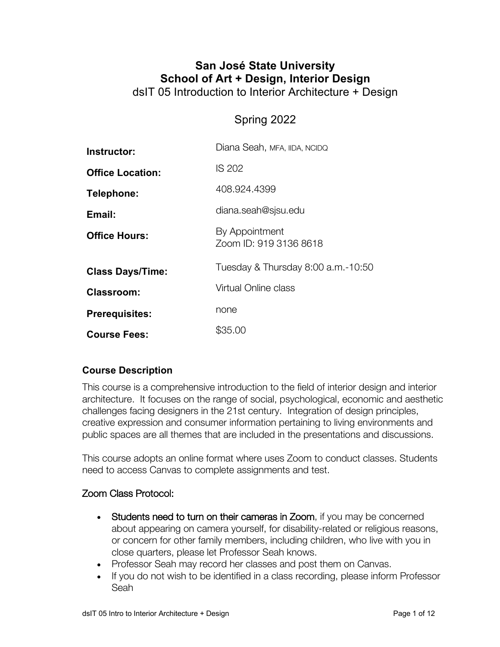# **San José State University School of Art + Design, Interior Design** dsIT 05 Introduction to Interior Architecture + Design

# Spring 2022

| Instructor:             | Diana Seah, MFA, IIDA, NCIDQ             |
|-------------------------|------------------------------------------|
| <b>Office Location:</b> | <b>IS 202</b>                            |
| Telephone:              | 408.924.4399                             |
| Email:                  | diana.seah@sjsu.edu                      |
| <b>Office Hours:</b>    | By Appointment<br>Zoom ID: 919 3136 8618 |
| <b>Class Days/Time:</b> | Tuesday & Thursday 8:00 a.m.-10:50       |
| Classroom:              | Virtual Online class                     |
| <b>Prerequisites:</b>   | none                                     |
| <b>Course Fees:</b>     | \$35.00                                  |

# **Course Description**

This course is a comprehensive introduction to the field of interior design and interior architecture. It focuses on the range of social, psychological, economic and aesthetic challenges facing designers in the 21st century. Integration of design principles, creative expression and consumer information pertaining to living environments and public spaces are all themes that are included in the presentations and discussions.

This course adopts an online format where uses Zoom to conduct classes. Students need to access Canvas to complete assignments and test.

#### Zoom Class Protocol:

- Students need to turn on their cameras in Zoom, if you may be concerned about appearing on camera yourself, for disability-related or religious reasons, or concern for other family members, including children, who live with you in close quarters, please let Professor Seah knows.
- Professor Seah may record her classes and post them on Canvas.
- If you do not wish to be identified in a class recording, please inform Professor Seah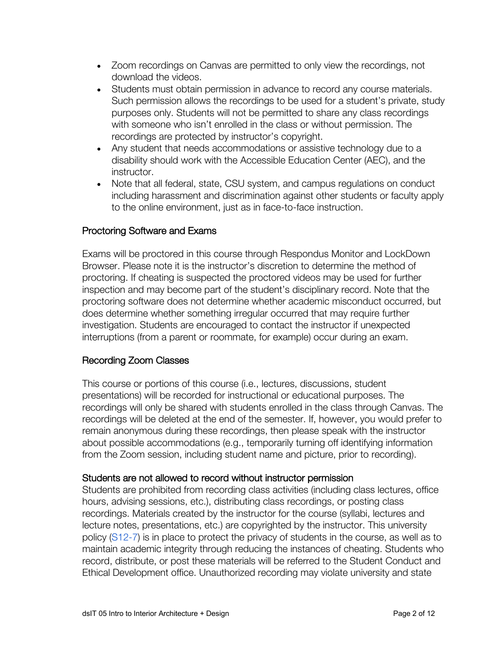- Zoom recordings on Canvas are permitted to only view the recordings, not download the videos.
- Students must obtain permission in advance to record any course materials. Such permission allows the recordings to be used for a student's private, study purposes only. Students will not be permitted to share any class recordings with someone who isn't enrolled in the class or without permission. The recordings are protected by instructor's copyright.
- Any student that needs accommodations or assistive technology due to a disability should work with the Accessible Education Center (AEC), and the instructor.
- Note that all federal, state, CSU system, and campus regulations on conduct including harassment and discrimination against other students or faculty apply to the online environment, just as in face-to-face instruction.

### Proctoring Software and Exams

Exams will be proctored in this course through Respondus Monitor and LockDown Browser. Please note it is the instructor's discretion to determine the method of proctoring. If cheating is suspected the proctored videos may be used for further inspection and may become part of the student's disciplinary record. Note that the proctoring software does not determine whether academic misconduct occurred, but does determine whether something irregular occurred that may require further investigation. Students are encouraged to contact the instructor if unexpected interruptions (from a parent or roommate, for example) occur during an exam.

#### Recording Zoom Classes

This course or portions of this course (i.e., lectures, discussions, student presentations) will be recorded for instructional or educational purposes. The recordings will only be shared with students enrolled in the class through Canvas. The recordings will be deleted at the end of the semester. If, however, you would prefer to remain anonymous during these recordings, then please speak with the instructor about possible accommodations (e.g., temporarily turning off identifying information from the Zoom session, including student name and picture, prior to recording).

#### Students are not allowed to record without instructor permission

Students are prohibited from recording class activities (including class lectures, office hours, advising sessions, etc.), distributing class recordings, or posting class recordings. Materials created by the instructor for the course (syllabi, lectures and lecture notes, presentations, etc.) are copyrighted by the instructor. This university policy (S12-7) is in place to protect the privacy of students in the course, as well as to maintain academic integrity through reducing the instances of cheating. Students who record, distribute, or post these materials will be referred to the Student Conduct and Ethical Development office. Unauthorized recording may violate university and state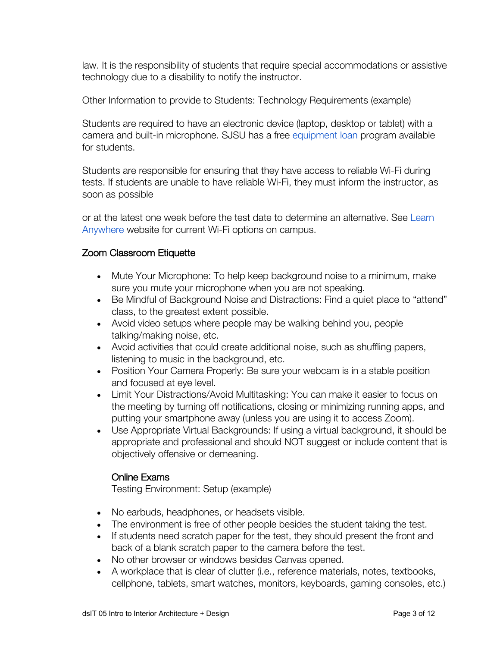law. It is the responsibility of students that require special accommodations or assistive technology due to a disability to notify the instructor.

Other Information to provide to Students: Technology Requirements (example)

Students are required to have an electronic device (laptop, desktop or tablet) with a camera and built-in microphone. SJSU has a free equipment loan program available for students.

Students are responsible for ensuring that they have access to reliable Wi-Fi during tests. If students are unable to have reliable Wi-Fi, they must inform the instructor, as soon as possible

or at the latest one week before the test date to determine an alternative. See Learn Anywhere website for current Wi-Fi options on campus.

### Zoom Classroom Etiquette

- Mute Your Microphone: To help keep background noise to a minimum, make sure you mute your microphone when you are not speaking.
- Be Mindful of Background Noise and Distractions: Find a quiet place to "attend" class, to the greatest extent possible.
- Avoid video setups where people may be walking behind you, people talking/making noise, etc.
- Avoid activities that could create additional noise, such as shuffling papers, listening to music in the background, etc.
- Position Your Camera Properly: Be sure your webcam is in a stable position and focused at eye level.
- Limit Your Distractions/Avoid Multitasking: You can make it easier to focus on the meeting by turning off notifications, closing or minimizing running apps, and putting your smartphone away (unless you are using it to access Zoom).
- Use Appropriate Virtual Backgrounds: If using a virtual background, it should be appropriate and professional and should NOT suggest or include content that is objectively offensive or demeaning.

#### Online Exams

Testing Environment: Setup (example)

- No earbuds, headphones, or headsets visible.
- The environment is free of other people besides the student taking the test.
- If students need scratch paper for the test, they should present the front and back of a blank scratch paper to the camera before the test.
- No other browser or windows besides Canvas opened.
- A workplace that is clear of clutter (i.e., reference materials, notes, textbooks, cellphone, tablets, smart watches, monitors, keyboards, gaming consoles, etc.)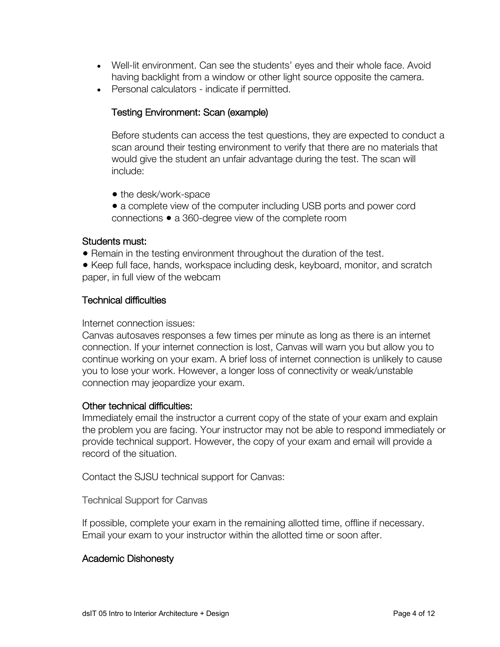- Well-lit environment. Can see the students' eyes and their whole face. Avoid having backlight from a window or other light source opposite the camera.
- Personal calculators indicate if permitted.

### Testing Environment: Scan (example)

Before students can access the test questions, they are expected to conduct a scan around their testing environment to verify that there are no materials that would give the student an unfair advantage during the test. The scan will include:

- the desk/work-space
- a complete view of the computer including USB ports and power cord connections ● a 360-degree view of the complete room

#### Students must:

• Remain in the testing environment throughout the duration of the test.

● Keep full face, hands, workspace including desk, keyboard, monitor, and scratch paper, in full view of the webcam

#### Technical difficulties

Internet connection issues:

Canvas autosaves responses a few times per minute as long as there is an internet connection. If your internet connection is lost, Canvas will warn you but allow you to continue working on your exam. A brief loss of internet connection is unlikely to cause you to lose your work. However, a longer loss of connectivity or weak/unstable connection may jeopardize your exam.

#### Other technical difficulties:

Immediately email the instructor a current copy of the state of your exam and explain the problem you are facing. Your instructor may not be able to respond immediately or provide technical support. However, the copy of your exam and email will provide a record of the situation.

Contact the SJSU technical support for Canvas:

Technical Support for Canvas

If possible, complete your exam in the remaining allotted time, offline if necessary. Email your exam to your instructor within the allotted time or soon after.

#### Academic Dishonesty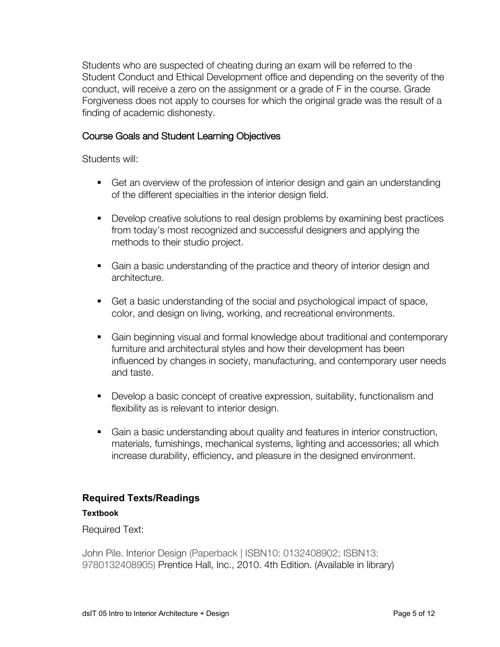Students who are suspected of cheating during an exam will be referred to the Student Conduct and Ethical Development office and depending on the severity of the conduct, will receive a zero on the assignment or a grade of F in the course. Grade Forgiveness does not apply to courses for which the original grade was the result of a finding of academic dishonesty.

### Course Goals and Student Learning Objectives

Students will:

- Get an overview of the profession of interior design and gain an understanding of the different specialties in the interior design field.
- Develop creative solutions to real design problems by examining best practices from today's most recognized and successful designers and applying the methods to their studio project.
- § Gain a basic understanding of the practice and theory of interior design and architecture.
- Get a basic understanding of the social and psychological impact of space, color, and design on living, working, and recreational environments.
- § Gain beginning visual and formal knowledge about traditional and contemporary furniture and architectural styles and how their development has been influenced by changes in society, manufacturing, and contemporary user needs and taste.
- § Develop a basic concept of creative expression, suitability, functionalism and flexibility as is relevant to interior design.
- § Gain a basic understanding about quality and features in interior construction, materials, furnishings, mechanical systems, lighting and accessories; all which increase durability, efficiency, and pleasure in the designed environment.

# **Required Texts/Readings**

#### **Textbook**

Required Text:

John Pile. Interior Design (Paperback | ISBN10: 0132408902; ISBN13: 9780132408905) Prentice Hall, Inc., 2010. 4th Edition. (Available in library)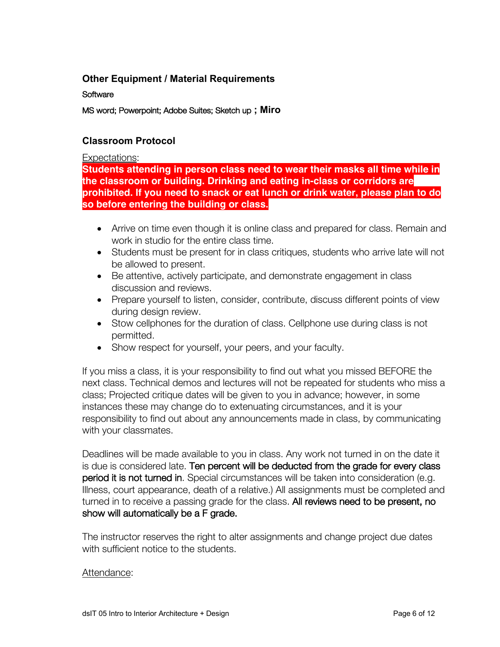### **Other Equipment / Material Requirements**

**Software** 

MS word; Powerpoint; Adobe Suites; Sketch up **; Miro**

# **Classroom Protocol**

#### Expectations:

**Students attending in person class need to wear their masks all time while in the classroom or building. Drinking and eating in-class or corridors are prohibited. If you need to snack or eat lunch or drink water, please plan to do so before entering the building or class.**

- Arrive on time even though it is online class and prepared for class. Remain and work in studio for the entire class time.
- Students must be present for in class critiques, students who arrive late will not be allowed to present.
- Be attentive, actively participate, and demonstrate engagement in class discussion and reviews.
- Prepare yourself to listen, consider, contribute, discuss different points of view during design review.
- Stow cellphones for the duration of class. Cellphone use during class is not permitted.
- Show respect for yourself, your peers, and your faculty.

If you miss a class, it is your responsibility to find out what you missed BEFORE the next class. Technical demos and lectures will not be repeated for students who miss a class; Projected critique dates will be given to you in advance; however, in some instances these may change do to extenuating circumstances, and it is your responsibility to find out about any announcements made in class, by communicating with your classmates.

Deadlines will be made available to you in class. Any work not turned in on the date it is due is considered late. Ten percent will be deducted from the grade for every class period it is not turned in. Special circumstances will be taken into consideration (e.g. Illness, court appearance, death of a relative.) All assignments must be completed and turned in to receive a passing grade for the class. All reviews need to be present, no show will automatically be a F grade.

The instructor reserves the right to alter assignments and change project due dates with sufficient notice to the students.

#### Attendance: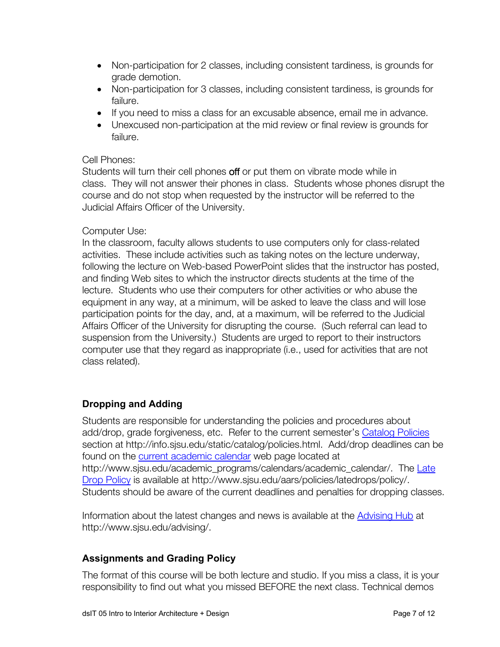- Non-participation for 2 classes, including consistent tardiness, is grounds for grade demotion.
- Non-participation for 3 classes, including consistent tardiness, is grounds for failure.
- If you need to miss a class for an excusable absence, email me in advance.
- Unexcused non-participation at the mid review or final review is grounds for failure.

#### Cell Phones:

Students will turn their cell phones off or put them on vibrate mode while in class. They will not answer their phones in class. Students whose phones disrupt the course and do not stop when requested by the instructor will be referred to the Judicial Affairs Officer of the University.

#### Computer Use:

In the classroom, faculty allows students to use computers only for class-related activities. These include activities such as taking notes on the lecture underway, following the lecture on Web-based PowerPoint slides that the instructor has posted, and finding Web sites to which the instructor directs students at the time of the lecture. Students who use their computers for other activities or who abuse the equipment in any way, at a minimum, will be asked to leave the class and will lose participation points for the day, and, at a maximum, will be referred to the Judicial Affairs Officer of the University for disrupting the course. (Such referral can lead to suspension from the University.) Students are urged to report to their instructors computer use that they regard as inappropriate (i.e., used for activities that are not class related).

# **Dropping and Adding**

Students are responsible for understanding the policies and procedures about add/drop, grade forgiveness, etc. Refer to the current semester's Catalog Policies section at http://info.sjsu.edu/static/catalog/policies.html. Add/drop deadlines can be found on the current academic calendar web page located at http://www.sjsu.edu/academic\_programs/calendars/academic\_calendar/. The Late Drop Policy is available at http://www.sjsu.edu/aars/policies/latedrops/policy/. Students should be aware of the current deadlines and penalties for dropping classes.

Information about the latest changes and news is available at the Advising Hub at http://www.sjsu.edu/advising/.

#### **Assignments and Grading Policy**

The format of this course will be both lecture and studio. If you miss a class, it is your responsibility to find out what you missed BEFORE the next class. Technical demos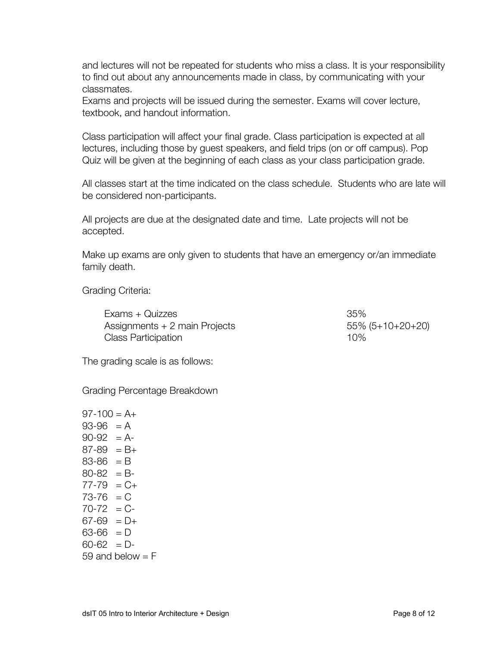and lectures will not be repeated for students who miss a class. It is your responsibility to find out about any announcements made in class, by communicating with your classmates.

Exams and projects will be issued during the semester. Exams will cover lecture, textbook, and handout information.

Class participation will affect your final grade. Class participation is expected at all lectures, including those by guest speakers, and field trips (on or off campus). Pop Quiz will be given at the beginning of each class as your class participation grade.

All classes start at the time indicated on the class schedule. Students who are late will be considered non-participants.

All projects are due at the designated date and time. Late projects will not be accepted.

Make up exams are only given to students that have an emergency or/an immediate family death.

#### Grading Criteria:

Exams + Quizzes 35%  $\lambda$ ssignments + 2 main Projects 55% (5+10+20+20) Class Participation **10%** 

The grading scale is as follows:

Grading Percentage Breakdown

 $97-100 = A+$  $93-96 = A$  $90-92 = A$  $87-89 = B+$  $83-86 = B$  $80-82 = B$  $77-79 = C+$  $73-76 = C$  $70-72 = C$  $67-69 = D+$  $63-66 = D$  $60-62 = D$ 59 and below  $=$  F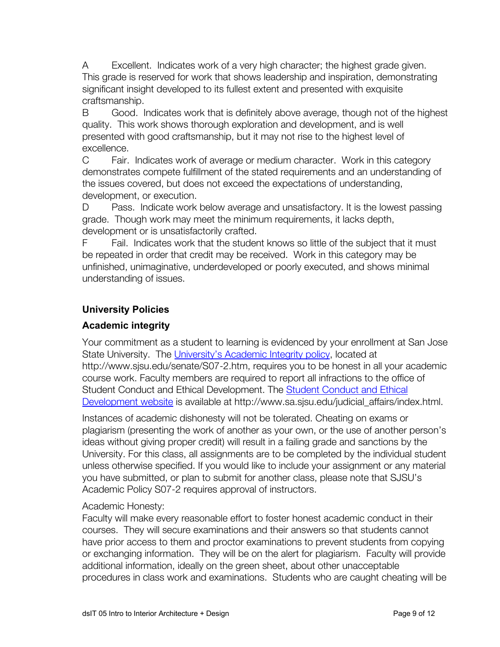A Excellent. Indicates work of a very high character; the highest grade given. This grade is reserved for work that shows leadership and inspiration, demonstrating significant insight developed to its fullest extent and presented with exquisite craftsmanship.

B Good. Indicates work that is definitely above average, though not of the highest quality. This work shows thorough exploration and development, and is well presented with good craftsmanship, but it may not rise to the highest level of excellence.

C Fair. Indicates work of average or medium character. Work in this category demonstrates compete fulfillment of the stated requirements and an understanding of the issues covered, but does not exceed the expectations of understanding, development, or execution.

D Pass. Indicate work below average and unsatisfactory. It is the lowest passing grade. Though work may meet the minimum requirements, it lacks depth, development or is unsatisfactorily crafted.

F Fail. Indicates work that the student knows so little of the subject that it must be repeated in order that credit may be received. Work in this category may be unfinished, unimaginative, underdeveloped or poorly executed, and shows minimal understanding of issues.

# **University Policies**

# **Academic integrity**

Your commitment as a student to learning is evidenced by your enrollment at San Jose State University. The University's Academic Integrity policy, located at http://www.sjsu.edu/senate/S07-2.htm, requires you to be honest in all your academic course work. Faculty members are required to report all infractions to the office of Student Conduct and Ethical Development. The Student Conduct and Ethical Development website is available at http://www.sa.sjsu.edu/judicial\_affairs/index.html.

Instances of academic dishonesty will not be tolerated. Cheating on exams or plagiarism (presenting the work of another as your own, or the use of another person's ideas without giving proper credit) will result in a failing grade and sanctions by the University. For this class, all assignments are to be completed by the individual student unless otherwise specified. If you would like to include your assignment or any material you have submitted, or plan to submit for another class, please note that SJSU's Academic Policy S07-2 requires approval of instructors.

#### Academic Honesty:

Faculty will make every reasonable effort to foster honest academic conduct in their courses. They will secure examinations and their answers so that students cannot have prior access to them and proctor examinations to prevent students from copying or exchanging information. They will be on the alert for plagiarism. Faculty will provide additional information, ideally on the green sheet, about other unacceptable procedures in class work and examinations. Students who are caught cheating will be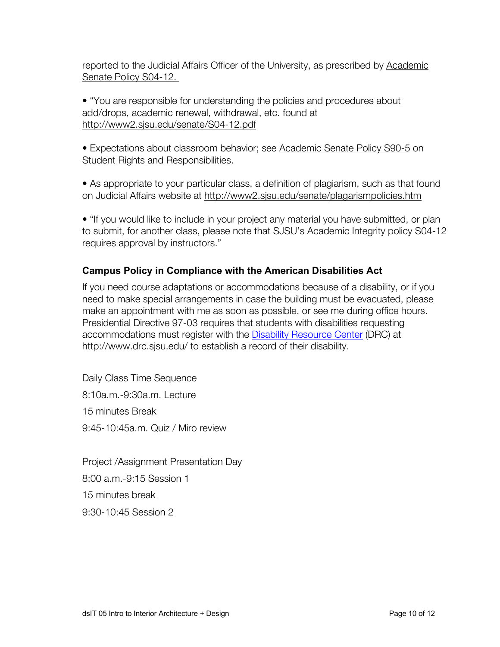reported to the Judicial Affairs Officer of the University, as prescribed by Academic Senate Policy S04-12.

• "You are responsible for understanding the policies and procedures about add/drops, academic renewal, withdrawal, etc. found at http://www2.sjsu.edu/senate/S04-12.pdf

• Expectations about classroom behavior; see Academic Senate Policy S90-5 on Student Rights and Responsibilities.

• As appropriate to your particular class, a definition of plagiarism, such as that found on Judicial Affairs website at http://www2.sjsu.edu/senate/plagarismpolicies.htm

• "If you would like to include in your project any material you have submitted, or plan to submit, for another class, please note that SJSU's Academic Integrity policy S04-12 requires approval by instructors."

# **Campus Policy in Compliance with the American Disabilities Act**

If you need course adaptations or accommodations because of a disability, or if you need to make special arrangements in case the building must be evacuated, please make an appointment with me as soon as possible, or see me during office hours. Presidential Directive 97-03 requires that students with disabilities requesting accommodations must register with the Disability Resource Center (DRC) at http://www.drc.sjsu.edu/ to establish a record of their disability.

Daily Class Time Sequence 8:10a.m.-9:30a.m. Lecture 15 minutes Break 9:45-10:45a.m. Quiz / Miro review

Project /Assignment Presentation Day 8:00 a.m.-9:15 Session 1 15 minutes break 9:30-10:45 Session 2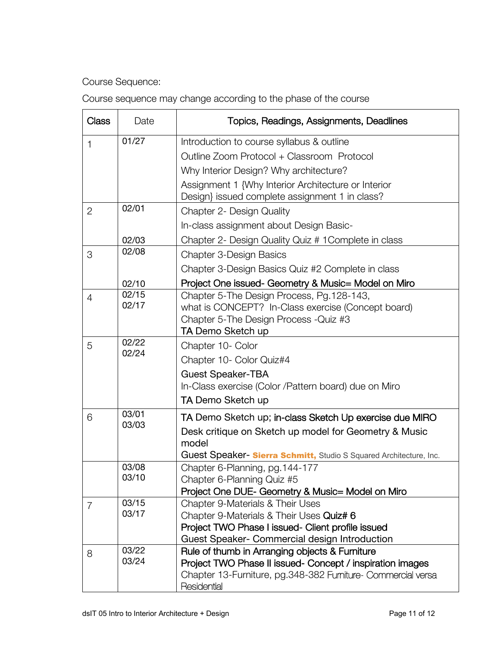Course Sequence:

| Course sequence may change according to the phase of the course |  |  |  |  |
|-----------------------------------------------------------------|--|--|--|--|
|-----------------------------------------------------------------|--|--|--|--|

| <b>Class</b>   | Date           | Topics, Readings, Assignments, Deadlines                                                                                                                                                         |
|----------------|----------------|--------------------------------------------------------------------------------------------------------------------------------------------------------------------------------------------------|
| $\mathbf{1}$   | 01/27          | Introduction to course syllabus & outline<br>Outline Zoom Protocol + Classroom Protocol<br>Why Interior Design? Why architecture?                                                                |
|                |                | Assignment 1 {Why Interior Architecture or Interior<br>Design} issued complete assignment 1 in class?                                                                                            |
| $\overline{2}$ | 02/01          | Chapter 2- Design Quality                                                                                                                                                                        |
|                |                | In-class assignment about Design Basic-                                                                                                                                                          |
|                | 02/03          | Chapter 2- Design Quality Quiz # 1 Complete in class                                                                                                                                             |
| 3              | 02/08          | <b>Chapter 3-Design Basics</b>                                                                                                                                                                   |
|                |                | Chapter 3-Design Basics Quiz #2 Complete in class                                                                                                                                                |
|                | 02/10          | Project One issued- Geometry & Music= Model on Miro                                                                                                                                              |
| $\overline{4}$ | 02/15<br>02/17 | Chapter 5-The Design Process, Pg.128-143,<br>what is CONCEPT? In-Class exercise (Concept board)<br>Chapter 5-The Design Process - Quiz #3<br>TA Demo Sketch up                                   |
| 5              | 02/22<br>02/24 | Chapter 10- Color<br>Chapter 10- Color Quiz#4<br><b>Guest Speaker-TBA</b><br>In-Class exercise (Color / Pattern board) due on Miro<br>TA Demo Sketch up                                          |
| 6              | 03/01<br>03/03 | TA Demo Sketch up; in-class Sketch Up exercise due MIRO<br>Desk critique on Sketch up model for Geometry & Music<br>model<br>Guest Speaker - Sierra Schmitt, Studio S Squared Architecture, Inc. |
|                | 03/08<br>03/10 | Chapter 6-Planning, pg. 144-177<br>Chapter 6-Planning Quiz #5<br>Project One DUE- Geometry & Music= Model on Miro                                                                                |
| 7              | 03/15<br>03/17 | Chapter 9-Materials & Their Uses<br>Chapter 9-Materials & Their Uses Quiz# 6<br>Project TWO Phase I issued- Client profile issued<br>Guest Speaker- Commercial design Introduction               |
| 8              | 03/22<br>03/24 | Rule of thumb in Arranging objects & Furniture<br>Project TWO Phase II issued- Concept / inspiration images<br>Chapter 13-Furniture, pg.348-382 Furniture- Commercial versa<br>Residential       |